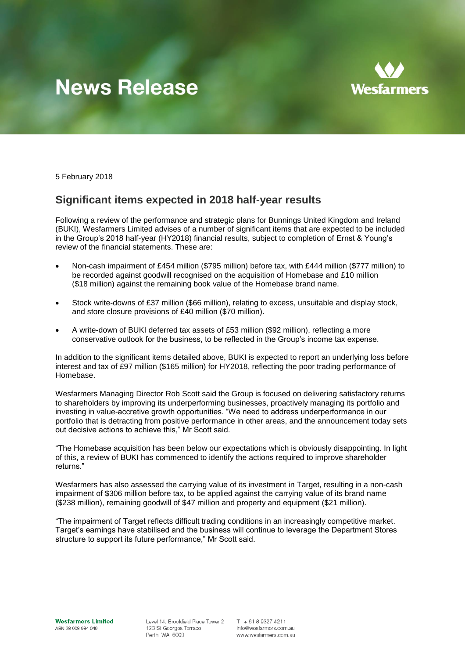# **News Release**



5 February 2018

## **Significant items expected in 2018 half-year results**

Following a review of the performance and strategic plans for Bunnings United Kingdom and Ireland (BUKI), Wesfarmers Limited advises of a number of significant items that are expected to be included in the Group's 2018 half-year (HY2018) financial results, subject to completion of Ernst & Young's review of the financial statements. These are:

- Non-cash impairment of £454 million (\$795 million) before tax, with £444 million (\$777 million) to be recorded against goodwill recognised on the acquisition of Homebase and £10 million (\$18 million) against the remaining book value of the Homebase brand name.
- Stock write-downs of £37 million (\$66 million), relating to excess, unsuitable and display stock, and store closure provisions of £40 million (\$70 million).
- A write-down of BUKI deferred tax assets of £53 million (\$92 million), reflecting a more conservative outlook for the business, to be reflected in the Group's income tax expense.

In addition to the significant items detailed above, BUKI is expected to report an underlying loss before interest and tax of £97 million (\$165 million) for HY2018, reflecting the poor trading performance of Homebase.

Wesfarmers Managing Director Rob Scott said the Group is focused on delivering satisfactory returns to shareholders by improving its underperforming businesses, proactively managing its portfolio and investing in value-accretive growth opportunities. "We need to address underperformance in our portfolio that is detracting from positive performance in other areas, and the announcement today sets out decisive actions to achieve this," Mr Scott said.

"The Homebase acquisition has been below our expectations which is obviously disappointing. In light of this, a review of BUKI has commenced to identify the actions required to improve shareholder returns."

Wesfarmers has also assessed the carrying value of its investment in Target, resulting in a non-cash impairment of \$306 million before tax, to be applied against the carrying value of its brand name (\$238 million), remaining goodwill of \$47 million and property and equipment (\$21 million).

"The impairment of Target reflects difficult trading conditions in an increasingly competitive market. Target's earnings have stabilised and the business will continue to leverage the Department Stores structure to support its future performance," Mr Scott said.

Level 14, Brookfield Place Tower 2 123 St Georges Terrace Perth WA 6000

 $T + 61893274211$ info@wesfarmers.com.au www.wesfarmers.com.au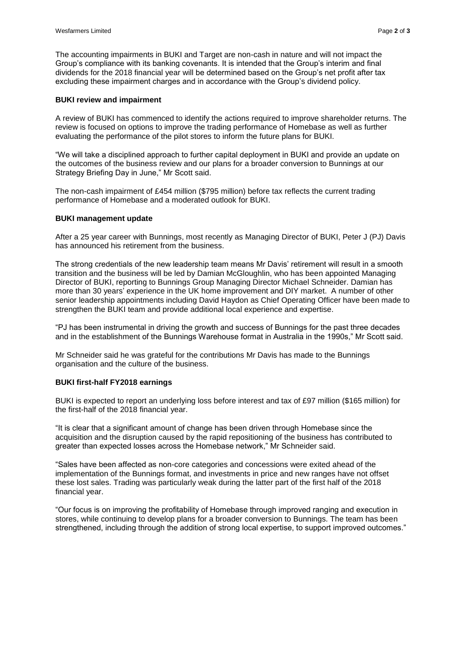The accounting impairments in BUKI and Target are non-cash in nature and will not impact the Group's compliance with its banking covenants. It is intended that the Group's interim and final dividends for the 2018 financial year will be determined based on the Group's net profit after tax excluding these impairment charges and in accordance with the Group's dividend policy.

#### **BUKI review and impairment**

A review of BUKI has commenced to identify the actions required to improve shareholder returns. The review is focused on options to improve the trading performance of Homebase as well as further evaluating the performance of the pilot stores to inform the future plans for BUKI.

"We will take a disciplined approach to further capital deployment in BUKI and provide an update on the outcomes of the business review and our plans for a broader conversion to Bunnings at our Strategy Briefing Day in June," Mr Scott said.

The non-cash impairment of £454 million (\$795 million) before tax reflects the current trading performance of Homebase and a moderated outlook for BUKI.

### **BUKI management update**

After a 25 year career with Bunnings, most recently as Managing Director of BUKI, Peter J (PJ) Davis has announced his retirement from the business.

The strong credentials of the new leadership team means Mr Davis' retirement will result in a smooth transition and the business will be led by Damian McGloughlin, who has been appointed Managing Director of BUKI, reporting to Bunnings Group Managing Director Michael Schneider. Damian has more than 30 years' experience in the UK home improvement and DIY market. A number of other senior leadership appointments including David Haydon as Chief Operating Officer have been made to strengthen the BUKI team and provide additional local experience and expertise.

"PJ has been instrumental in driving the growth and success of Bunnings for the past three decades and in the establishment of the Bunnings Warehouse format in Australia in the 1990s," Mr Scott said.

Mr Schneider said he was grateful for the contributions Mr Davis has made to the Bunnings organisation and the culture of the business.

#### **BUKI first-half FY2018 earnings**

BUKI is expected to report an underlying loss before interest and tax of £97 million (\$165 million) for the first-half of the 2018 financial year.

"It is clear that a significant amount of change has been driven through Homebase since the acquisition and the disruption caused by the rapid repositioning of the business has contributed to greater than expected losses across the Homebase network," Mr Schneider said.

"Sales have been affected as non-core categories and concessions were exited ahead of the implementation of the Bunnings format, and investments in price and new ranges have not offset these lost sales. Trading was particularly weak during the latter part of the first half of the 2018 financial year.

"Our focus is on improving the profitability of Homebase through improved ranging and execution in stores, while continuing to develop plans for a broader conversion to Bunnings. The team has been strengthened, including through the addition of strong local expertise, to support improved outcomes."